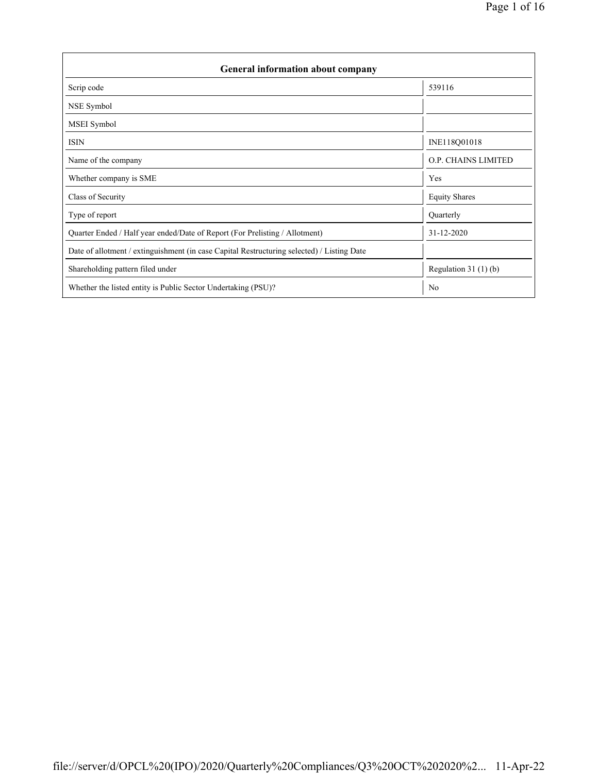| <b>General information about company</b>                                                   |                        |  |  |  |  |  |
|--------------------------------------------------------------------------------------------|------------------------|--|--|--|--|--|
| Scrip code                                                                                 | 539116                 |  |  |  |  |  |
| NSE Symbol                                                                                 |                        |  |  |  |  |  |
| MSEI Symbol                                                                                |                        |  |  |  |  |  |
| <b>ISIN</b>                                                                                | INE118Q01018           |  |  |  |  |  |
| Name of the company                                                                        | O.P. CHAINS LIMITED    |  |  |  |  |  |
| Whether company is SME                                                                     | Yes                    |  |  |  |  |  |
| Class of Security                                                                          | <b>Equity Shares</b>   |  |  |  |  |  |
| Type of report                                                                             | Quarterly              |  |  |  |  |  |
| Quarter Ended / Half year ended/Date of Report (For Prelisting / Allotment)                | 31-12-2020             |  |  |  |  |  |
| Date of allotment / extinguishment (in case Capital Restructuring selected) / Listing Date |                        |  |  |  |  |  |
| Shareholding pattern filed under                                                           | Regulation 31 $(1)(b)$ |  |  |  |  |  |
| Whether the listed entity is Public Sector Undertaking (PSU)?                              | N <sub>0</sub>         |  |  |  |  |  |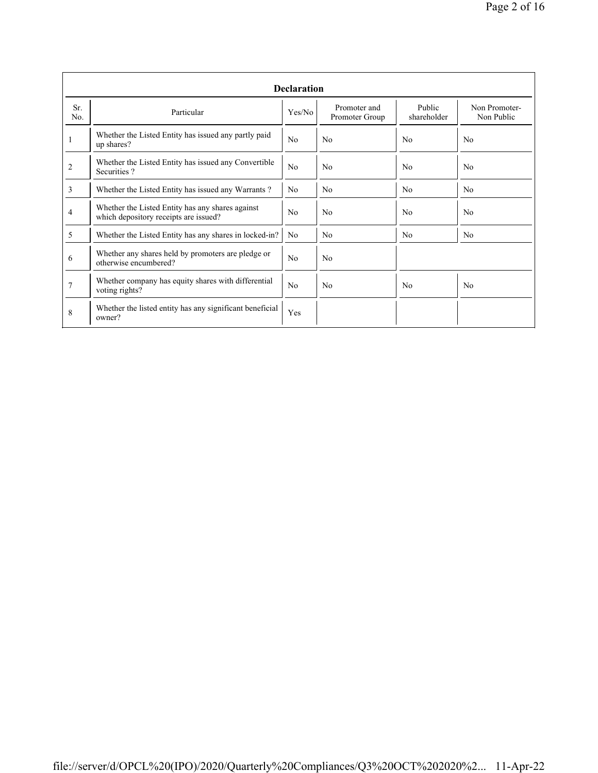|            | <b>Declaration</b>                                                                        |                |                                |                       |                             |  |  |  |  |  |
|------------|-------------------------------------------------------------------------------------------|----------------|--------------------------------|-----------------------|-----------------------------|--|--|--|--|--|
| Sr.<br>No. | Particular                                                                                | Yes/No         | Promoter and<br>Promoter Group | Public<br>shareholder | Non Promoter-<br>Non Public |  |  |  |  |  |
| 1          | Whether the Listed Entity has issued any partly paid<br>up shares?                        | No             | N <sub>0</sub>                 | No                    | N <sub>0</sub>              |  |  |  |  |  |
| 2          | Whether the Listed Entity has issued any Convertible<br>Securities?                       | No             | No                             | N <sub>0</sub>        | N <sub>0</sub>              |  |  |  |  |  |
| 3          | Whether the Listed Entity has issued any Warrants?                                        | N <sub>0</sub> | No                             | N <sub>0</sub>        | N <sub>0</sub>              |  |  |  |  |  |
| 4          | Whether the Listed Entity has any shares against<br>which depository receipts are issued? | No             | N <sub>0</sub>                 | No                    | N <sub>0</sub>              |  |  |  |  |  |
| 5          | Whether the Listed Entity has any shares in locked-in?                                    | N <sub>0</sub> | No                             | N <sub>0</sub>        | N <sub>0</sub>              |  |  |  |  |  |
| 6          | Whether any shares held by promoters are pledge or<br>otherwise encumbered?               | No             | N <sub>0</sub>                 |                       |                             |  |  |  |  |  |
| 7          | Whether company has equity shares with differential<br>voting rights?                     | No             | N <sub>0</sub>                 | N <sub>0</sub>        | N <sub>0</sub>              |  |  |  |  |  |
| 8          | Whether the listed entity has any significant beneficial<br>owner?                        | Yes            |                                |                       |                             |  |  |  |  |  |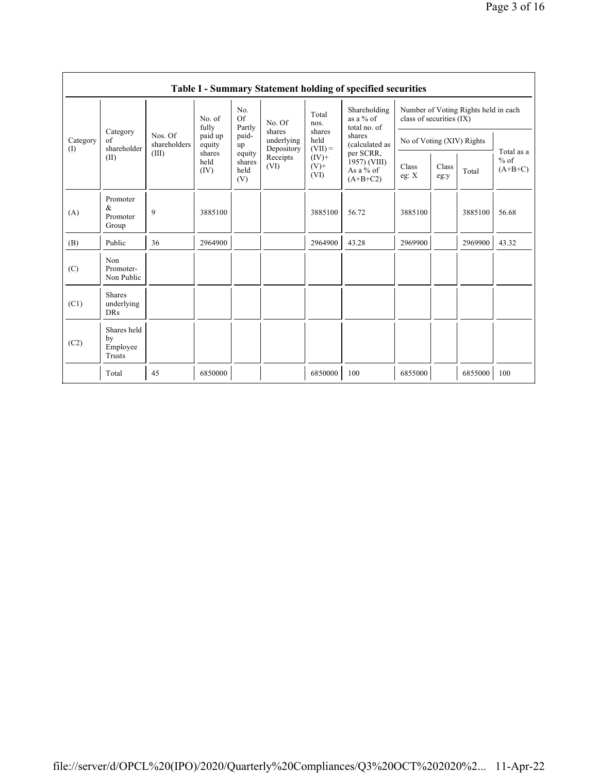|                 | Table I - Summary Statement holding of specified securities |                                  |                        |                                 |                                    |                                                            |                                                                                                                                   |                                                                  |               |         |                                   |
|-----------------|-------------------------------------------------------------|----------------------------------|------------------------|---------------------------------|------------------------------------|------------------------------------------------------------|-----------------------------------------------------------------------------------------------------------------------------------|------------------------------------------------------------------|---------------|---------|-----------------------------------|
| Category<br>(I) | Category<br>of<br>shareholder<br>(II)                       | Nos. Of<br>shareholders<br>(III) | No. of<br>fully        | No.<br>Of<br>Partly             | No. Of                             | Total<br>nos.                                              | Shareholding<br>as a $%$ of<br>total no. of<br>shares<br>(calculated as<br>per SCRR,<br>1957) (VIII)<br>As a $%$ of<br>$(A+B+C2)$ | Number of Voting Rights held in each<br>class of securities (IX) |               |         |                                   |
|                 |                                                             |                                  | paid up<br>equity      | paid-<br>up                     | shares<br>underlying<br>Depository | shares<br>held<br>$(VII) =$<br>$(IV)$ +<br>$(V)$ +<br>(VI) |                                                                                                                                   | No of Voting (XIV) Rights                                        |               |         |                                   |
|                 |                                                             |                                  | shares<br>held<br>(IV) | equity<br>shares<br>held<br>(V) | Receipts<br>(VI)                   |                                                            |                                                                                                                                   | Class<br>eg: $X$                                                 | Class<br>eg:y | Total   | Total as a<br>$%$ of<br>$(A+B+C)$ |
| (A)             | Promoter<br>&<br>Promoter<br>Group                          | 9                                | 3885100                |                                 |                                    | 3885100                                                    | 56.72                                                                                                                             | 3885100                                                          |               | 3885100 | 56.68                             |
| (B)             | Public                                                      | 36                               | 2964900                |                                 |                                    | 2964900                                                    | 43.28                                                                                                                             | 2969900                                                          |               | 2969900 | 43.32                             |
| (C)             | Non<br>Promoter-<br>Non Public                              |                                  |                        |                                 |                                    |                                                            |                                                                                                                                   |                                                                  |               |         |                                   |
| (C1)            | <b>Shares</b><br>underlying<br><b>DRs</b>                   |                                  |                        |                                 |                                    |                                                            |                                                                                                                                   |                                                                  |               |         |                                   |
| (C2)            | Shares held<br>by<br>Employee<br>Trusts                     |                                  |                        |                                 |                                    |                                                            |                                                                                                                                   |                                                                  |               |         |                                   |
|                 | Total                                                       | 45                               | 6850000                |                                 |                                    | 6850000                                                    | 100                                                                                                                               | 6855000                                                          |               | 6855000 | 100                               |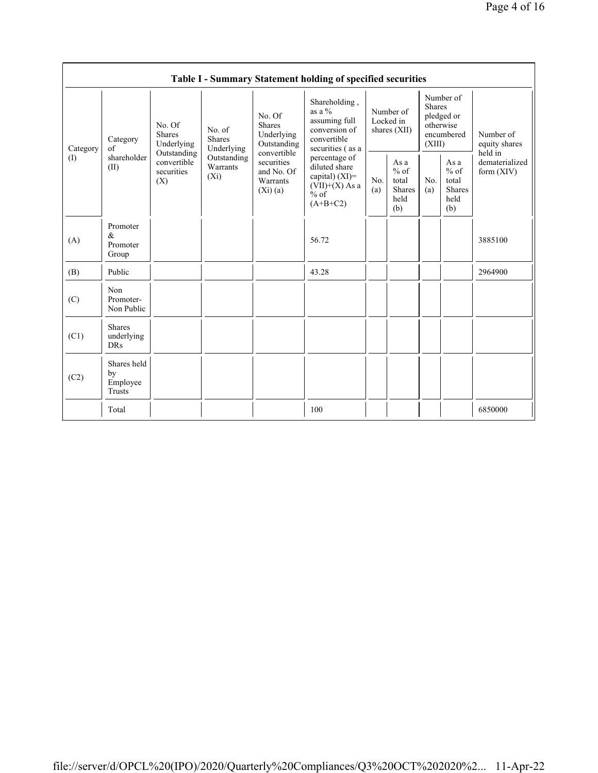| Table I - Summary Statement holding of specified securities |                                           |                                                                                          |                                                                             |                                                                                                                           |                                                                                                 |                                        |                                                         |                                                                               |                                                  |                                           |
|-------------------------------------------------------------|-------------------------------------------|------------------------------------------------------------------------------------------|-----------------------------------------------------------------------------|---------------------------------------------------------------------------------------------------------------------------|-------------------------------------------------------------------------------------------------|----------------------------------------|---------------------------------------------------------|-------------------------------------------------------------------------------|--------------------------------------------------|-------------------------------------------|
| Category<br>$\left( \mathrm{I}\right)$                      | Category<br>of<br>shareholder<br>(II)     | No. Of<br><b>Shares</b><br>Underlying<br>Outstanding<br>convertible<br>securities<br>(X) | No. of<br><b>Shares</b><br>Underlying<br>Outstanding<br>Warrants<br>$(X_i)$ | No. Of<br><b>Shares</b><br>Underlying<br>Outstanding<br>convertible<br>securities<br>and No. Of<br>Warrants<br>$(X_i)(a)$ | Shareholding,<br>as a $\%$<br>assuming full<br>conversion of<br>convertible<br>securities (as a | Number of<br>Locked in<br>shares (XII) |                                                         | Number of<br><b>Shares</b><br>pledged or<br>otherwise<br>encumbered<br>(XIII) |                                                  | Number of<br>equity shares                |
|                                                             |                                           |                                                                                          |                                                                             |                                                                                                                           | percentage of<br>diluted share<br>capital) $(XI)$ =<br>$(VII)+(X)$ As a<br>$%$ of<br>$(A+B+C2)$ | No.<br>(a)                             | As a<br>$%$ of<br>total<br><b>Shares</b><br>held<br>(b) | No.<br>(a)                                                                    | As a<br>$%$ of<br>total<br>Shares<br>held<br>(b) | held in<br>dematerialized<br>form $(XIV)$ |
| (A)                                                         | Promoter<br>&<br>Promoter<br>Group        |                                                                                          |                                                                             |                                                                                                                           | 56.72                                                                                           |                                        |                                                         |                                                                               |                                                  | 3885100                                   |
| (B)                                                         | Public                                    |                                                                                          |                                                                             |                                                                                                                           | 43.28                                                                                           |                                        |                                                         |                                                                               |                                                  | 2964900                                   |
| (C)                                                         | Non<br>Promoter-<br>Non Public            |                                                                                          |                                                                             |                                                                                                                           |                                                                                                 |                                        |                                                         |                                                                               |                                                  |                                           |
| (C1)                                                        | <b>Shares</b><br>underlying<br><b>DRs</b> |                                                                                          |                                                                             |                                                                                                                           |                                                                                                 |                                        |                                                         |                                                                               |                                                  |                                           |
| (C2)                                                        | Shares held<br>by<br>Employee<br>Trusts   |                                                                                          |                                                                             |                                                                                                                           |                                                                                                 |                                        |                                                         |                                                                               |                                                  |                                           |
|                                                             | Total                                     |                                                                                          |                                                                             |                                                                                                                           | 100                                                                                             |                                        |                                                         |                                                                               |                                                  | 6850000                                   |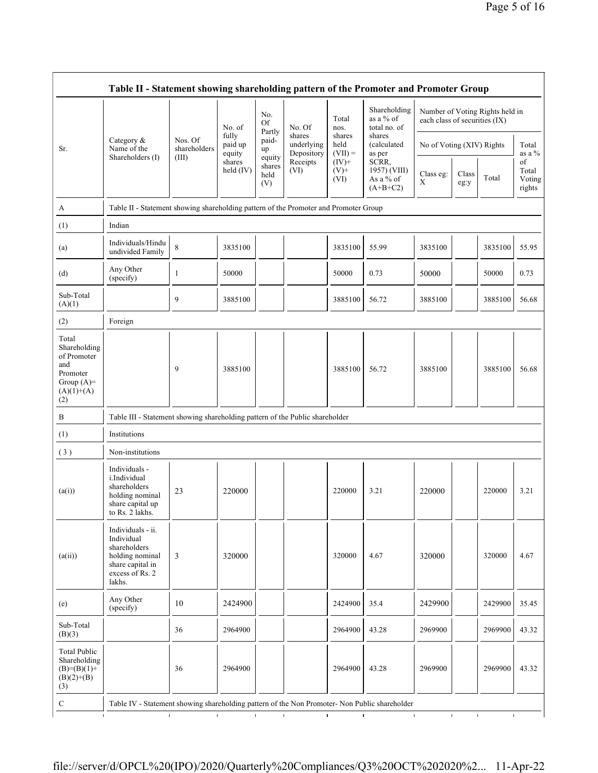| Table II - Statement showing shareholding pattern of the Promoter and Promoter Group           |                                                                                                                     |                         |                            |                                 |                                    |                             |                                                  |                               |               |                                 |                                 |
|------------------------------------------------------------------------------------------------|---------------------------------------------------------------------------------------------------------------------|-------------------------|----------------------------|---------------------------------|------------------------------------|-----------------------------|--------------------------------------------------|-------------------------------|---------------|---------------------------------|---------------------------------|
|                                                                                                |                                                                                                                     |                         | No. of                     | No.<br>Of<br>Partly             | No. Of                             | Total<br>nos.               | Shareholding<br>as a % of<br>total no. of        | each class of securities (IX) |               | Number of Voting Rights held in |                                 |
| Sr.                                                                                            | Category $\&$<br>Name of the                                                                                        | Nos. Of<br>shareholders | fully<br>paid up<br>equity | paid-<br>up                     | shares<br>underlying<br>Depository | shares<br>held<br>$(VII) =$ | shares<br>(calculated<br>as per                  | No of Voting (XIV) Rights     |               |                                 | Total<br>as a %                 |
|                                                                                                | Shareholders (I)                                                                                                    | (III)                   | shares<br>held (IV)        | equity<br>shares<br>held<br>(V) | Receipts<br>(VI)                   | $(IV)+$<br>$(V)$ +<br>(VI)  | SCRR,<br>1957) (VIII)<br>As a % of<br>$(A+B+C2)$ | Class eg:<br>X                | Class<br>eg:y | Total                           | of<br>Total<br>Voting<br>rights |
| А                                                                                              | Table II - Statement showing shareholding pattern of the Promoter and Promoter Group                                |                         |                            |                                 |                                    |                             |                                                  |                               |               |                                 |                                 |
| (1)                                                                                            | Indian                                                                                                              |                         |                            |                                 |                                    |                             |                                                  |                               |               |                                 |                                 |
| (a)                                                                                            | Individuals/Hindu<br>undivided Family                                                                               | 8                       | 3835100                    |                                 |                                    | 3835100                     | 55.99                                            | 3835100                       |               | 3835100                         | 55.95                           |
| (d)                                                                                            | Any Other<br>(specify)                                                                                              | 1                       | 50000                      |                                 |                                    | 50000                       | 0.73                                             | 50000                         |               | 50000                           | 0.73                            |
| Sub-Total<br>(A)(1)                                                                            |                                                                                                                     | 9                       | 3885100                    |                                 |                                    | 3885100                     | 56.72                                            | 3885100                       |               | 3885100                         | 56.68                           |
| (2)                                                                                            | Foreign                                                                                                             |                         |                            |                                 |                                    |                             |                                                  |                               |               |                                 |                                 |
| Total<br>Shareholding<br>of Promoter<br>and<br>Promoter<br>Group $(A)=$<br>$(A)(1)+(A)$<br>(2) |                                                                                                                     | 9                       | 3885100                    |                                 |                                    | 3885100                     | 56.72                                            | 3885100                       |               | 3885100                         | 56.68                           |
| B                                                                                              | Table III - Statement showing shareholding pattern of the Public shareholder                                        |                         |                            |                                 |                                    |                             |                                                  |                               |               |                                 |                                 |
| (1)                                                                                            | Institutions                                                                                                        |                         |                            |                                 |                                    |                             |                                                  |                               |               |                                 |                                 |
| (3)                                                                                            | Non-institutions                                                                                                    |                         |                            |                                 |                                    |                             |                                                  |                               |               |                                 |                                 |
| (a(i))                                                                                         | Individuals -<br>i.Individual<br>shareholders<br>holding nominal<br>share capital up<br>to Rs. 2 lakhs.             | 23                      | 220000                     |                                 |                                    | 220000                      | 3.21                                             | 220000                        |               | 220000                          | 3.21                            |
| (a(ii))                                                                                        | Individuals - ii.<br>Individual<br>shareholders<br>holding nominal<br>share capital in<br>excess of Rs. 2<br>lakhs. | 3                       | 320000                     |                                 |                                    | 320000                      | 4.67                                             | 320000                        |               | 320000                          | 4.67                            |
| (e)                                                                                            | Any Other<br>(specify)                                                                                              | 10                      | 2424900                    |                                 |                                    | 2424900                     | 35.4                                             | 2429900                       |               | 2429900                         | 35.45                           |
| Sub-Total<br>(B)(3)                                                                            |                                                                                                                     | 36                      | 2964900                    |                                 |                                    | 2964900                     | 43.28                                            | 2969900                       |               | 2969900                         | 43.32                           |
| <b>Total Public</b><br>Shareholding<br>$(B)= (B)(1) +$<br>$(B)(2)+(B)$<br>(3)                  |                                                                                                                     | 36                      | 2964900                    |                                 |                                    | 2964900                     | 43.28                                            | 2969900                       |               | 2969900                         | 43.32                           |
| ${\bf C}$                                                                                      | Table IV - Statement showing shareholding pattern of the Non Promoter- Non Public shareholder<br>$\mathbf{I}$       |                         | $\mathbf{L}$               | $\mathbf{L}$                    | $\mathbf{I}$                       |                             | $\mathbf{I}$<br>$\blacksquare$                   |                               | $\mathbf{I}$  | $\mathbf{L}$<br>$\mathbf{L}$    |                                 |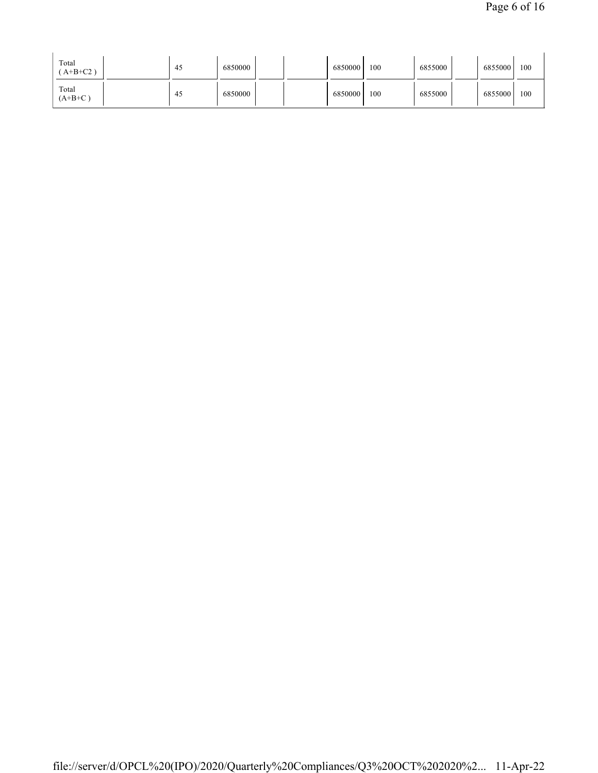| Total<br>$A+B+C2$ ) | 45  | 6850000 |  | 6850000 | 100 | 6855000 | 6855000 | 100 |
|---------------------|-----|---------|--|---------|-----|---------|---------|-----|
| Total<br>$(A+B+C)$  | -45 | 6850000 |  | 6850000 | 100 | 6855000 | 6855000 | 100 |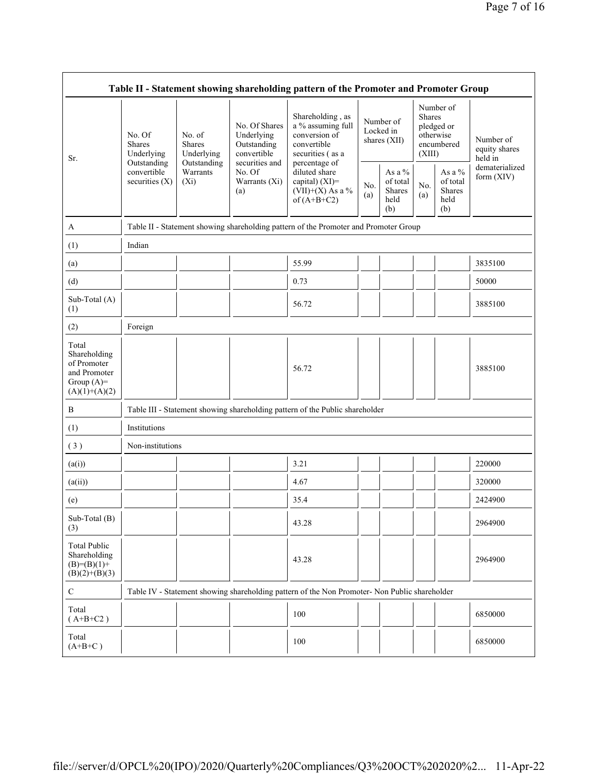| Table II - Statement showing shareholding pattern of the Promoter and Promoter Group    |                                                                                         |                                                                                    |                                                           |                                                                                                            |                                        |                                             |                                                                               |                                                       |                                       |
|-----------------------------------------------------------------------------------------|-----------------------------------------------------------------------------------------|------------------------------------------------------------------------------------|-----------------------------------------------------------|------------------------------------------------------------------------------------------------------------|----------------------------------------|---------------------------------------------|-------------------------------------------------------------------------------|-------------------------------------------------------|---------------------------------------|
| Sr.                                                                                     | No. Of<br><b>Shares</b><br>Underlying<br>Outstanding<br>convertible<br>securities $(X)$ | No. of<br><b>Shares</b><br>Underlying<br>Outstanding<br>Warrants<br>$(X_i)$<br>(a) | No. Of Shares<br>Underlying<br>Outstanding<br>convertible | Shareholding, as<br>a % assuming full<br>conversion of<br>convertible<br>securities (as a<br>percentage of | Number of<br>Locked in<br>shares (XII) |                                             | Number of<br><b>Shares</b><br>pledged or<br>otherwise<br>encumbered<br>(XIII) |                                                       | Number of<br>equity shares<br>held in |
|                                                                                         |                                                                                         |                                                                                    | securities and<br>No. Of<br>Warrants (Xi)                 | diluted share<br>capital) (XI)=<br>$(VII)+(X)$ As a %<br>of $(A+B+C2)$                                     | No.<br>(a)                             | As a %<br>of total<br>Shares<br>held<br>(b) | No.<br>(a)                                                                    | As a $\%$<br>of total<br><b>Shares</b><br>held<br>(b) | dematerialized<br>form (XIV)          |
| A                                                                                       |                                                                                         |                                                                                    |                                                           | Table II - Statement showing shareholding pattern of the Promoter and Promoter Group                       |                                        |                                             |                                                                               |                                                       |                                       |
| (1)                                                                                     | Indian                                                                                  |                                                                                    |                                                           |                                                                                                            |                                        |                                             |                                                                               |                                                       |                                       |
| (a)                                                                                     |                                                                                         |                                                                                    |                                                           | 55.99                                                                                                      |                                        |                                             |                                                                               |                                                       | 3835100                               |
| (d)                                                                                     |                                                                                         |                                                                                    |                                                           | 0.73                                                                                                       |                                        |                                             |                                                                               |                                                       | 50000                                 |
| Sub-Total (A)<br>(1)                                                                    |                                                                                         |                                                                                    |                                                           | 56.72                                                                                                      |                                        |                                             |                                                                               |                                                       | 3885100                               |
| (2)                                                                                     | Foreign                                                                                 |                                                                                    |                                                           |                                                                                                            |                                        |                                             |                                                                               |                                                       |                                       |
| Total<br>Shareholding<br>of Promoter<br>and Promoter<br>Group $(A)=$<br>$(A)(1)+(A)(2)$ |                                                                                         |                                                                                    |                                                           | 56.72                                                                                                      |                                        |                                             |                                                                               |                                                       | 3885100                               |
| B                                                                                       |                                                                                         |                                                                                    |                                                           | Table III - Statement showing shareholding pattern of the Public shareholder                               |                                        |                                             |                                                                               |                                                       |                                       |
| (1)                                                                                     | Institutions                                                                            |                                                                                    |                                                           |                                                                                                            |                                        |                                             |                                                                               |                                                       |                                       |
| (3)                                                                                     | Non-institutions                                                                        |                                                                                    |                                                           |                                                                                                            |                                        |                                             |                                                                               |                                                       |                                       |
| (a(i))                                                                                  |                                                                                         |                                                                                    |                                                           | 3.21                                                                                                       |                                        |                                             |                                                                               |                                                       | 220000                                |
| (a(ii))                                                                                 |                                                                                         |                                                                                    |                                                           | 4.67                                                                                                       |                                        |                                             |                                                                               |                                                       | 320000                                |
| (e)                                                                                     |                                                                                         |                                                                                    |                                                           | 35.4                                                                                                       |                                        |                                             |                                                                               |                                                       | 2424900                               |
| Sub-Total (B)<br>(3)                                                                    |                                                                                         |                                                                                    |                                                           | 43.28                                                                                                      |                                        |                                             |                                                                               |                                                       | 2964900                               |
| <b>Total Public</b><br>Shareholding<br>$(B)= (B)(1) +$<br>$(B)(2)+(B)(3)$               |                                                                                         |                                                                                    |                                                           | 43.28                                                                                                      |                                        |                                             |                                                                               |                                                       | 2964900                               |
| $\mathbf C$                                                                             |                                                                                         |                                                                                    |                                                           | Table IV - Statement showing shareholding pattern of the Non Promoter- Non Public shareholder              |                                        |                                             |                                                                               |                                                       |                                       |
| Total<br>$(A+B+C2)$                                                                     |                                                                                         |                                                                                    |                                                           | 100                                                                                                        |                                        |                                             |                                                                               |                                                       | 6850000                               |
| Total<br>$(A+B+C)$                                                                      |                                                                                         |                                                                                    |                                                           | 100                                                                                                        |                                        |                                             |                                                                               |                                                       | 6850000                               |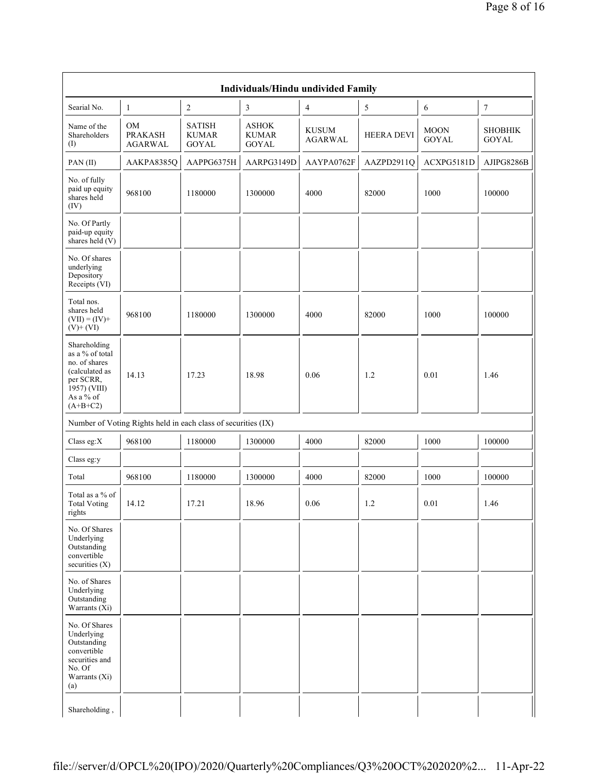|                                                                                                                            | Individuals/Hindu undivided Family                            |                                        |                                       |                                |                   |                             |                                |  |  |  |
|----------------------------------------------------------------------------------------------------------------------------|---------------------------------------------------------------|----------------------------------------|---------------------------------------|--------------------------------|-------------------|-----------------------------|--------------------------------|--|--|--|
| Searial No.                                                                                                                | $\mathbf{1}$                                                  | $\sqrt{2}$                             | 3                                     | $\overline{4}$                 | 5                 | 6                           | $\boldsymbol{7}$               |  |  |  |
| Name of the<br>Shareholders<br>(I)                                                                                         | OM<br><b>PRAKASH</b><br><b>AGARWAL</b>                        | <b>SATISH</b><br><b>KUMAR</b><br>GOYAL | <b>ASHOK</b><br><b>KUMAR</b><br>GOYAL | <b>KUSUM</b><br><b>AGARWAL</b> | <b>HEERA DEVI</b> | <b>MOON</b><br><b>GOYAL</b> | <b>SHOBHIK</b><br><b>GOYAL</b> |  |  |  |
| PAN(II)                                                                                                                    | AAKPA8385Q                                                    | AAPPG6375H                             | AARPG3149D                            | AAYPA0762F                     | AAZPD2911Q        | ACXPG5181D                  | AJIPG8286B                     |  |  |  |
| No. of fully<br>paid up equity<br>shares held<br>(IV)                                                                      | 968100                                                        | 1180000                                | 1300000                               | 4000                           | 82000             | 1000                        | 100000                         |  |  |  |
| No. Of Partly<br>paid-up equity<br>shares held $(V)$                                                                       |                                                               |                                        |                                       |                                |                   |                             |                                |  |  |  |
| No. Of shares<br>underlying<br>Depository<br>Receipts (VI)                                                                 |                                                               |                                        |                                       |                                |                   |                             |                                |  |  |  |
| Total nos.<br>shares held<br>$(VII) = (IV) +$<br>$(V)$ + $(VI)$                                                            | 968100                                                        | 1180000                                | 1300000                               | 4000                           | 82000             | 1000                        | 100000                         |  |  |  |
| Shareholding<br>as a % of total<br>no. of shares<br>(calculated as<br>per SCRR,<br>1957) (VIII)<br>As a % of<br>$(A+B+C2)$ | 14.13                                                         | 17.23                                  | 18.98                                 | 0.06                           | 1.2               | 0.01                        | 1.46                           |  |  |  |
|                                                                                                                            | Number of Voting Rights held in each class of securities (IX) |                                        |                                       |                                |                   |                             |                                |  |  |  |
| Class eg: $X$                                                                                                              | 968100                                                        | 1180000                                | 1300000                               | 4000                           | 82000             | 1000                        | 100000                         |  |  |  |
| Class eg:y                                                                                                                 |                                                               |                                        |                                       |                                |                   |                             |                                |  |  |  |
| Total                                                                                                                      | 968100                                                        | 1180000                                | 1300000                               | 4000                           | 82000             | 1000                        | 100000                         |  |  |  |
| Total as a % of<br><b>Total Voting</b><br>rights                                                                           | 14.12                                                         | 17.21                                  | 18.96                                 | 0.06                           | 1.2               | $0.01\,$                    | 1.46                           |  |  |  |
| No. Of Shares<br>Underlying<br>Outstanding<br>convertible<br>securities (X)                                                |                                                               |                                        |                                       |                                |                   |                             |                                |  |  |  |
| No. of Shares<br>Underlying<br>Outstanding<br>Warrants $(X_i)$                                                             |                                                               |                                        |                                       |                                |                   |                             |                                |  |  |  |
| No. Of Shares<br>Underlying<br>Outstanding<br>convertible<br>securities and<br>No. Of<br>Warrants (Xi)<br>(a)              |                                                               |                                        |                                       |                                |                   |                             |                                |  |  |  |
| Shareholding,                                                                                                              |                                                               |                                        |                                       |                                |                   |                             |                                |  |  |  |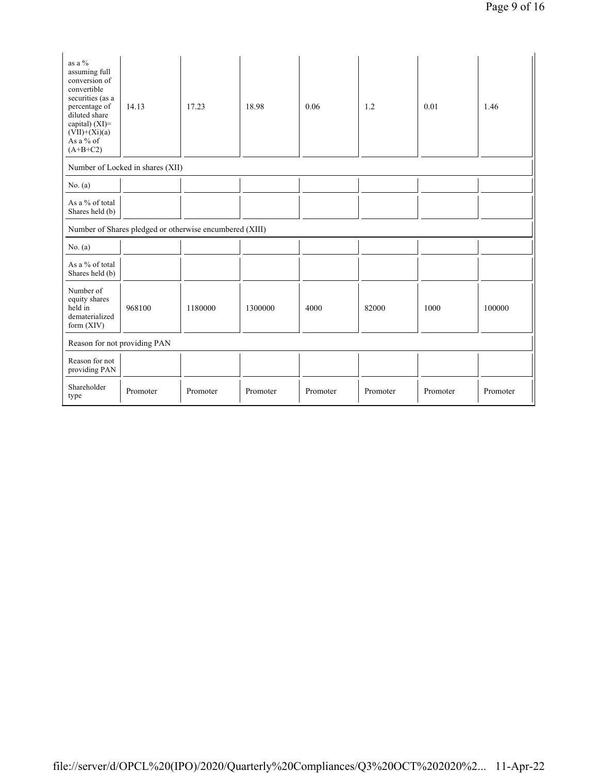| as a %<br>assuming full<br>conversion of<br>convertible<br>securities (as a<br>percentage of<br>diluted share<br>capital) $(XI)$ =<br>$(VII)+(Xi)(a)$<br>As a % of<br>$(A+B+C2)$ | 14.13                                                   | 17.23    | 18.98    | 0.06     | 1.2      | 0.01     | 1.46     |  |
|----------------------------------------------------------------------------------------------------------------------------------------------------------------------------------|---------------------------------------------------------|----------|----------|----------|----------|----------|----------|--|
|                                                                                                                                                                                  | Number of Locked in shares (XII)                        |          |          |          |          |          |          |  |
| No. $(a)$                                                                                                                                                                        |                                                         |          |          |          |          |          |          |  |
| As a % of total<br>Shares held (b)                                                                                                                                               |                                                         |          |          |          |          |          |          |  |
|                                                                                                                                                                                  | Number of Shares pledged or otherwise encumbered (XIII) |          |          |          |          |          |          |  |
| No. $(a)$                                                                                                                                                                        |                                                         |          |          |          |          |          |          |  |
| As a % of total<br>Shares held (b)                                                                                                                                               |                                                         |          |          |          |          |          |          |  |
| Number of<br>equity shares<br>held in<br>dematerialized<br>form (XIV)                                                                                                            | 968100                                                  | 1180000  | 1300000  | 4000     | 82000    | 1000     | 100000   |  |
| Reason for not providing PAN                                                                                                                                                     |                                                         |          |          |          |          |          |          |  |
| Reason for not<br>providing PAN                                                                                                                                                  |                                                         |          |          |          |          |          |          |  |
| Shareholder<br>type                                                                                                                                                              | Promoter                                                | Promoter | Promoter | Promoter | Promoter | Promoter | Promoter |  |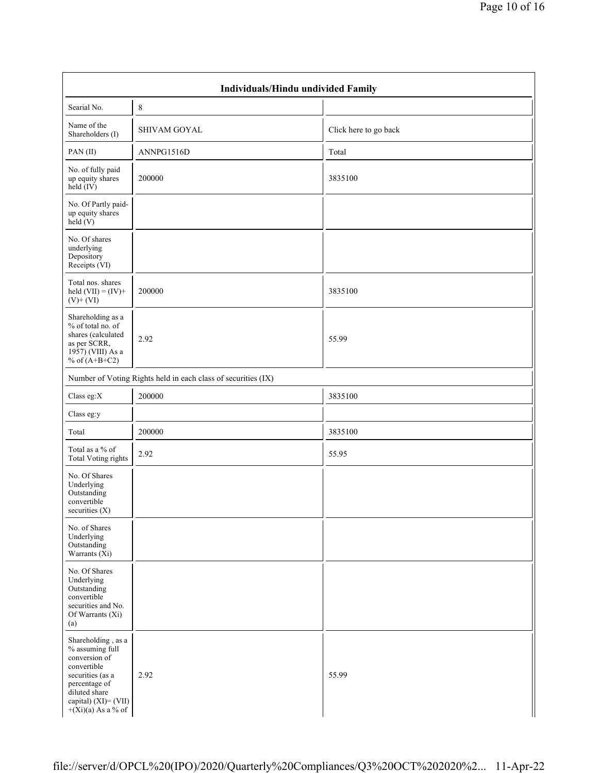| Individuals/Hindu undivided Family                                                                                                                                          |                                                               |                       |  |  |  |  |  |  |
|-----------------------------------------------------------------------------------------------------------------------------------------------------------------------------|---------------------------------------------------------------|-----------------------|--|--|--|--|--|--|
| Searial No.                                                                                                                                                                 | 8                                                             |                       |  |  |  |  |  |  |
| Name of the<br>Shareholders (I)                                                                                                                                             | <b>SHIVAM GOYAL</b>                                           | Click here to go back |  |  |  |  |  |  |
| PAN(II)                                                                                                                                                                     | ANNPG1516D                                                    | Total                 |  |  |  |  |  |  |
| No. of fully paid<br>up equity shares<br>$held$ (IV)                                                                                                                        | 200000                                                        | 3835100               |  |  |  |  |  |  |
| No. Of Partly paid-<br>up equity shares<br>held(V)                                                                                                                          |                                                               |                       |  |  |  |  |  |  |
| No. Of shares<br>underlying<br>Depository<br>Receipts (VI)                                                                                                                  |                                                               |                       |  |  |  |  |  |  |
| Total nos. shares<br>held $(VII) = (IV) +$<br>$(V)$ + $(VI)$                                                                                                                | 200000                                                        | 3835100               |  |  |  |  |  |  |
| Shareholding as a<br>% of total no. of<br>shares (calculated<br>as per SCRR,<br>1957) (VIII) As a<br>% of $(A+B+C2)$                                                        | 2.92                                                          | 55.99                 |  |  |  |  |  |  |
|                                                                                                                                                                             | Number of Voting Rights held in each class of securities (IX) |                       |  |  |  |  |  |  |
| Class eg: $X$                                                                                                                                                               | 200000                                                        | 3835100               |  |  |  |  |  |  |
| Class eg:y                                                                                                                                                                  |                                                               |                       |  |  |  |  |  |  |
| Total                                                                                                                                                                       | 200000                                                        | 3835100               |  |  |  |  |  |  |
| Total as a % of<br><b>Total Voting rights</b>                                                                                                                               | 2.92                                                          | 55.95                 |  |  |  |  |  |  |
| No. Of Shares<br>Underlying<br>Outstanding<br>convertible<br>securities $(X)$                                                                                               |                                                               |                       |  |  |  |  |  |  |
| No. of Shares<br>Underlying<br>Outstanding<br>Warrants $(X_i)$                                                                                                              |                                                               |                       |  |  |  |  |  |  |
| No. Of Shares<br>Underlying<br>Outstanding<br>convertible<br>securities and No.<br>Of Warrants (Xi)<br>(a)                                                                  |                                                               |                       |  |  |  |  |  |  |
| Shareholding, as a<br>% assuming full<br>conversion of<br>convertible<br>securities (as a<br>percentage of<br>diluted share<br>capital) (XI)= (VII)<br>$+(Xi)(a)$ As a % of | 2.92                                                          | 55.99                 |  |  |  |  |  |  |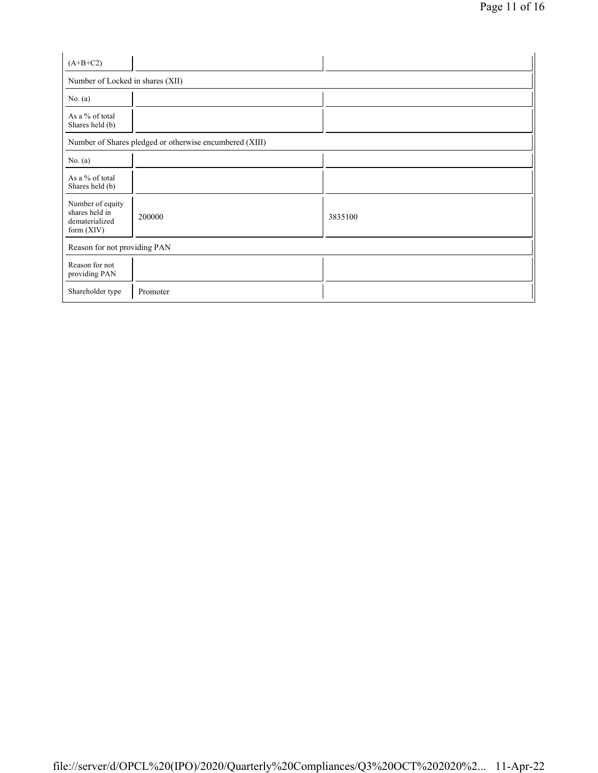| $(A+B+C2)$                                                           |                                                         |         |  |  |  |  |
|----------------------------------------------------------------------|---------------------------------------------------------|---------|--|--|--|--|
| Number of Locked in shares (XII)                                     |                                                         |         |  |  |  |  |
| No. $(a)$                                                            |                                                         |         |  |  |  |  |
| As a % of total<br>Shares held (b)                                   |                                                         |         |  |  |  |  |
|                                                                      | Number of Shares pledged or otherwise encumbered (XIII) |         |  |  |  |  |
| No. $(a)$                                                            |                                                         |         |  |  |  |  |
| As a % of total<br>Shares held (b)                                   |                                                         |         |  |  |  |  |
| Number of equity<br>shares held in<br>dematerialized<br>form $(XIV)$ | 200000                                                  | 3835100 |  |  |  |  |
| Reason for not providing PAN                                         |                                                         |         |  |  |  |  |
| Reason for not<br>providing PAN                                      |                                                         |         |  |  |  |  |
| Shareholder type                                                     | Promoter                                                |         |  |  |  |  |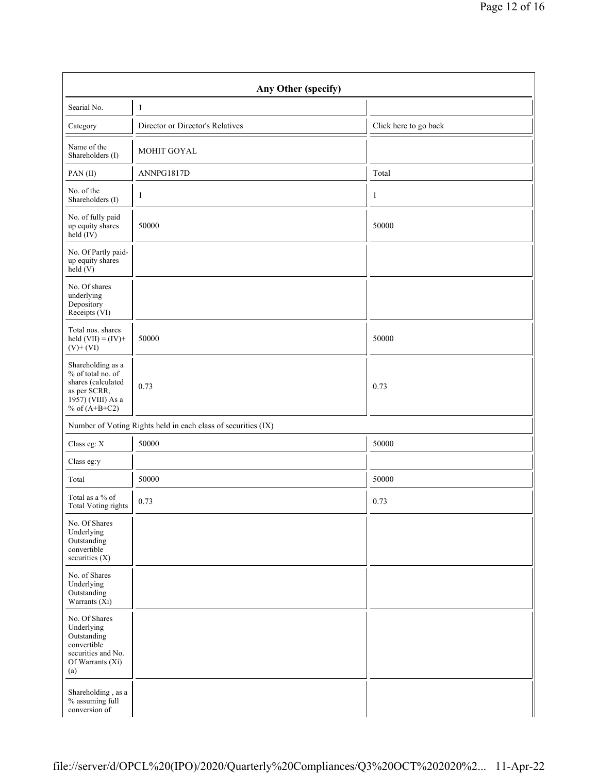| Any Other (specify)                                                                                                  |                                                               |                       |  |  |  |  |  |  |  |
|----------------------------------------------------------------------------------------------------------------------|---------------------------------------------------------------|-----------------------|--|--|--|--|--|--|--|
| Searial No.                                                                                                          | $\mathbf{1}$                                                  |                       |  |  |  |  |  |  |  |
| Category                                                                                                             | Director or Director's Relatives                              | Click here to go back |  |  |  |  |  |  |  |
| Name of the<br>Shareholders (I)                                                                                      | MOHIT GOYAL                                                   |                       |  |  |  |  |  |  |  |
| PAN(II)                                                                                                              | ANNPG1817D                                                    | Total                 |  |  |  |  |  |  |  |
| No. of the<br>Shareholders (I)                                                                                       | $\mathbf{1}$                                                  | $\mathbf{1}$          |  |  |  |  |  |  |  |
| No. of fully paid<br>up equity shares<br>$held$ (IV)                                                                 | 50000                                                         | 50000                 |  |  |  |  |  |  |  |
| No. Of Partly paid-<br>up equity shares<br>held (V)                                                                  |                                                               |                       |  |  |  |  |  |  |  |
| No. Of shares<br>underlying<br>Depository<br>Receipts (VI)                                                           |                                                               |                       |  |  |  |  |  |  |  |
| Total nos. shares<br>held $(VII) = (IV) +$<br>$(V) + (VI)$                                                           | 50000                                                         | 50000                 |  |  |  |  |  |  |  |
| Shareholding as a<br>% of total no. of<br>shares (calculated<br>as per SCRR,<br>1957) (VIII) As a<br>% of $(A+B+C2)$ | 0.73                                                          | 0.73                  |  |  |  |  |  |  |  |
|                                                                                                                      | Number of Voting Rights held in each class of securities (IX) |                       |  |  |  |  |  |  |  |
| Class eg: X                                                                                                          | 50000                                                         | 50000                 |  |  |  |  |  |  |  |
| Class eg:y                                                                                                           |                                                               |                       |  |  |  |  |  |  |  |
| Total                                                                                                                | 50000                                                         | 50000                 |  |  |  |  |  |  |  |
| Total as a % of<br>Total Voting rights                                                                               | 0.73                                                          | 0.73                  |  |  |  |  |  |  |  |
| No. Of Shares<br>Underlying<br>Outstanding<br>convertible<br>securities (X)                                          |                                                               |                       |  |  |  |  |  |  |  |
| No. of Shares<br>Underlying<br>Outstanding<br>Warrants $(X_i)$                                                       |                                                               |                       |  |  |  |  |  |  |  |
| No. Of Shares<br>Underlying<br>Outstanding<br>convertible<br>securities and No.<br>Of Warrants (Xi)<br>(a)           |                                                               |                       |  |  |  |  |  |  |  |
| Shareholding, as a<br>% assuming full<br>conversion of                                                               |                                                               |                       |  |  |  |  |  |  |  |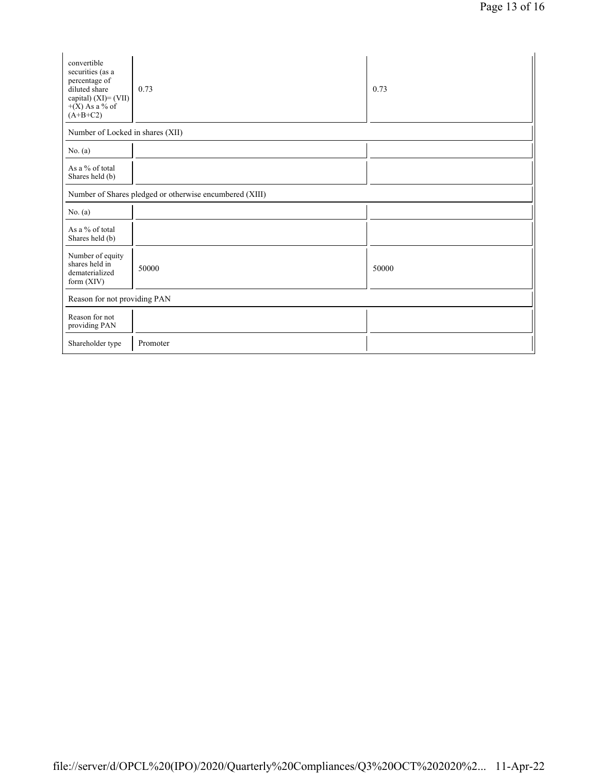| convertible<br>securities (as a<br>percentage of<br>diluted share<br>capital) $(XI) = (VII)$<br>$+(X)$ As a % of<br>$(A+B+C2)$ | 0.73     | 0.73  |  |  |  |  |
|--------------------------------------------------------------------------------------------------------------------------------|----------|-------|--|--|--|--|
| Number of Locked in shares (XII)                                                                                               |          |       |  |  |  |  |
| No. $(a)$                                                                                                                      |          |       |  |  |  |  |
| As a % of total<br>Shares held (b)                                                                                             |          |       |  |  |  |  |
| Number of Shares pledged or otherwise encumbered (XIII)                                                                        |          |       |  |  |  |  |
| No. $(a)$                                                                                                                      |          |       |  |  |  |  |
| As a % of total<br>Shares held (b)                                                                                             |          |       |  |  |  |  |
| Number of equity<br>shares held in<br>dematerialized<br>form $(XIV)$                                                           | 50000    | 50000 |  |  |  |  |
| Reason for not providing PAN                                                                                                   |          |       |  |  |  |  |
| Reason for not<br>providing PAN                                                                                                |          |       |  |  |  |  |
| Shareholder type                                                                                                               | Promoter |       |  |  |  |  |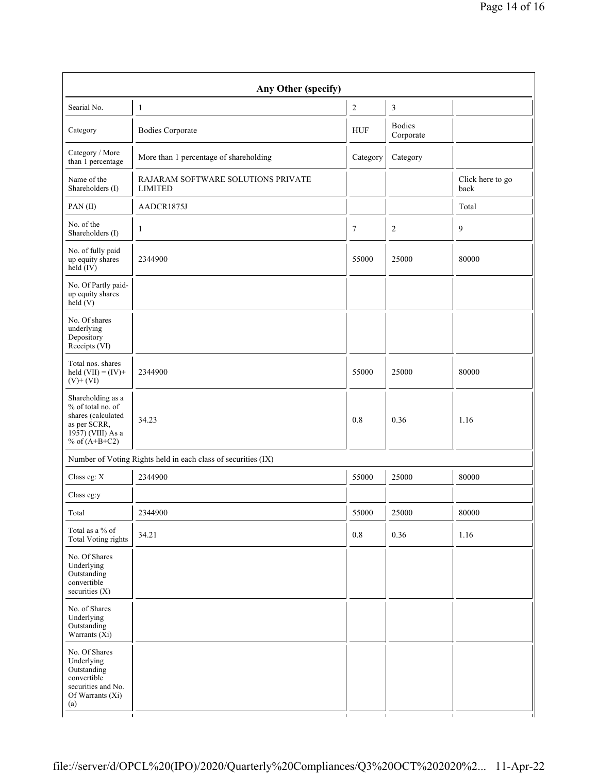| Any Other (specify)                                                                                                  |                                                               |                  |                            |                          |  |  |  |
|----------------------------------------------------------------------------------------------------------------------|---------------------------------------------------------------|------------------|----------------------------|--------------------------|--|--|--|
| Searial No.                                                                                                          | $\mathbf{1}$                                                  | $\boldsymbol{2}$ | 3                          |                          |  |  |  |
| Category                                                                                                             | <b>Bodies Corporate</b>                                       | <b>HUF</b>       | <b>Bodies</b><br>Corporate |                          |  |  |  |
| Category / More<br>than 1 percentage                                                                                 | More than 1 percentage of shareholding                        | Category         | Category                   |                          |  |  |  |
| Name of the<br>Shareholders (I)                                                                                      | RAJARAM SOFTWARE SOLUTIONS PRIVATE<br><b>LIMITED</b>          |                  |                            | Click here to go<br>back |  |  |  |
| PAN(II)                                                                                                              | AADCR1875J                                                    |                  |                            | Total                    |  |  |  |
| No. of the<br>Shareholders (I)                                                                                       | $\mathbf{1}$                                                  | $\tau$           | $\overline{2}$             | 9                        |  |  |  |
| No. of fully paid<br>up equity shares<br>$\text{held}(\text{IV})$                                                    | 2344900                                                       | 55000            | 25000                      | 80000                    |  |  |  |
| No. Of Partly paid-<br>up equity shares<br>held(V)                                                                   |                                                               |                  |                            |                          |  |  |  |
| No. Of shares<br>underlying<br>Depository<br>Receipts (VI)                                                           |                                                               |                  |                            |                          |  |  |  |
| Total nos. shares<br>held $(VII) = (IV) +$<br>$(V)$ + $(VI)$                                                         | 2344900                                                       | 55000            | 25000                      | 80000                    |  |  |  |
| Shareholding as a<br>% of total no. of<br>shares (calculated<br>as per SCRR,<br>1957) (VIII) As a<br>% of $(A+B+C2)$ | 34.23                                                         | 0.8              | 0.36                       | 1.16                     |  |  |  |
|                                                                                                                      | Number of Voting Rights held in each class of securities (IX) |                  |                            |                          |  |  |  |
| Class eg: X                                                                                                          | 2344900                                                       | 55000            | 25000                      | 80000                    |  |  |  |
| Class eg:y                                                                                                           |                                                               |                  |                            |                          |  |  |  |
| Total                                                                                                                | 2344900                                                       | 55000            | 25000                      | 80000                    |  |  |  |
| Total as a % of<br>Total Voting rights                                                                               | 34.21                                                         | $0.8\,$          | 0.36                       | 1.16                     |  |  |  |
| No. Of Shares<br>Underlying<br>Outstanding<br>convertible<br>securities (X)                                          |                                                               |                  |                            |                          |  |  |  |
| No. of Shares<br>Underlying<br>Outstanding<br>Warrants $(X_i)$                                                       |                                                               |                  |                            |                          |  |  |  |
| No. Of Shares<br>Underlying<br>Outstanding<br>convertible<br>securities and No.<br>Of Warrants (Xi)<br>(a)           |                                                               |                  |                            |                          |  |  |  |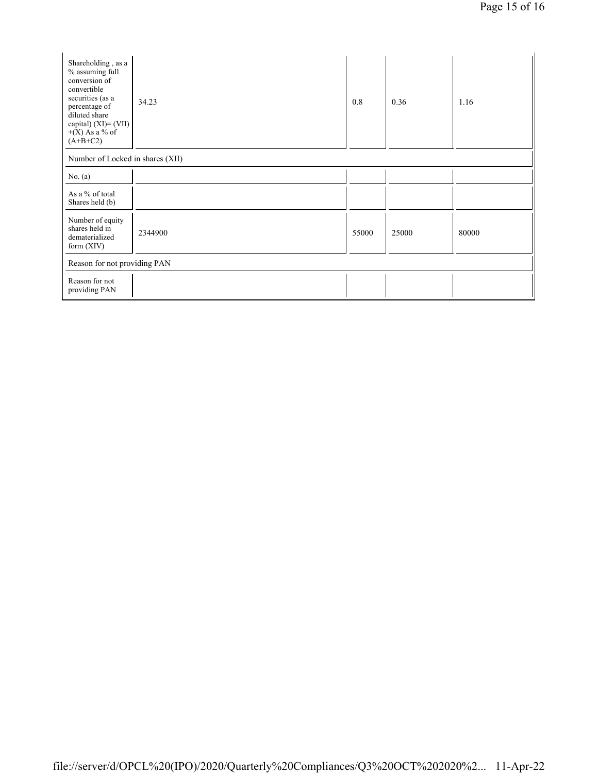| Shareholding, as a<br>% assuming full<br>conversion of<br>convertible<br>securities (as a<br>percentage of<br>diluted share<br>capital) $(XI) = (VII)$<br>$+(X)$ As a % of<br>$(A+B+C2)$ | 34.23   | 0.8   | 0.36  | 1.16  |  |  |
|------------------------------------------------------------------------------------------------------------------------------------------------------------------------------------------|---------|-------|-------|-------|--|--|
| Number of Locked in shares (XII)                                                                                                                                                         |         |       |       |       |  |  |
| No. $(a)$                                                                                                                                                                                |         |       |       |       |  |  |
| As a % of total<br>Shares held (b)                                                                                                                                                       |         |       |       |       |  |  |
| Number of equity<br>shares held in<br>dematerialized<br>form $(XIV)$                                                                                                                     | 2344900 | 55000 | 25000 | 80000 |  |  |
| Reason for not providing PAN                                                                                                                                                             |         |       |       |       |  |  |
| Reason for not<br>providing PAN                                                                                                                                                          |         |       |       |       |  |  |